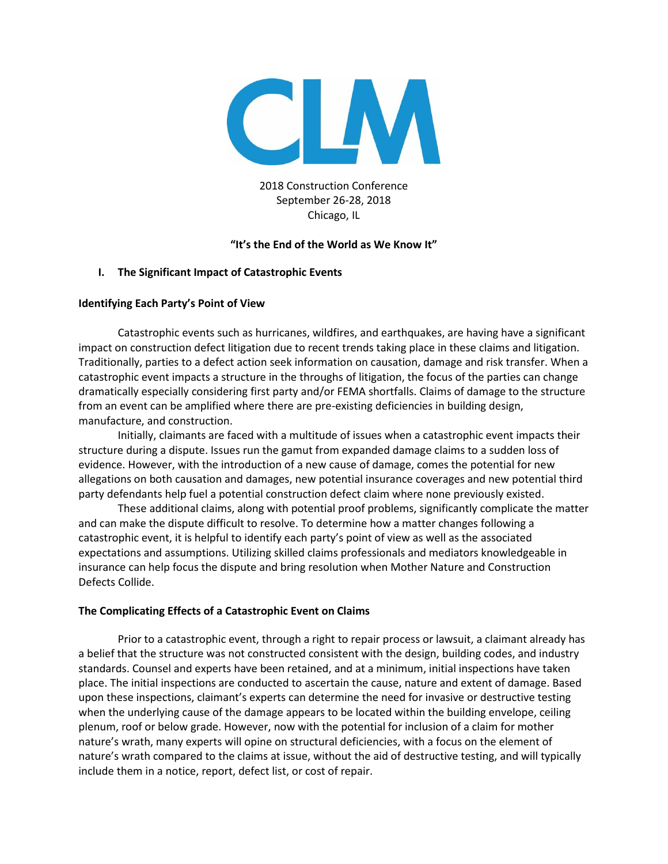

2018 Construction Conference September 26-28, 2018 Chicago, IL

## **"It's the End of the World as We Know It"**

## **I. The Significant Impact of Catastrophic Events**

## **Identifying Each Party's Point of View**

Catastrophic events such as hurricanes, wildfires, and earthquakes, are having have a significant impact on construction defect litigation due to recent trends taking place in these claims and litigation. Traditionally, parties to a defect action seek information on causation, damage and risk transfer. When a catastrophic event impacts a structure in the throughs of litigation, the focus of the parties can change dramatically especially considering first party and/or FEMA shortfalls. Claims of damage to the structure from an event can be amplified where there are pre-existing deficiencies in building design, manufacture, and construction.

Initially, claimants are faced with a multitude of issues when a catastrophic event impacts their structure during a dispute. Issues run the gamut from expanded damage claims to a sudden loss of evidence. However, with the introduction of a new cause of damage, comes the potential for new allegations on both causation and damages, new potential insurance coverages and new potential third party defendants help fuel a potential construction defect claim where none previously existed.

These additional claims, along with potential proof problems, significantly complicate the matter and can make the dispute difficult to resolve. To determine how a matter changes following a catastrophic event, it is helpful to identify each party's point of view as well as the associated expectations and assumptions. Utilizing skilled claims professionals and mediators knowledgeable in insurance can help focus the dispute and bring resolution when Mother Nature and Construction Defects Collide.

### **The Complicating Effects of a Catastrophic Event on Claims**

Prior to a catastrophic event, through a right to repair process or lawsuit, a claimant already has a belief that the structure was not constructed consistent with the design, building codes, and industry standards. Counsel and experts have been retained, and at a minimum, initial inspections have taken place. The initial inspections are conducted to ascertain the cause, nature and extent of damage. Based upon these inspections, claimant's experts can determine the need for invasive or destructive testing when the underlying cause of the damage appears to be located within the building envelope, ceiling plenum, roof or below grade. However, now with the potential for inclusion of a claim for mother nature's wrath, many experts will opine on structural deficiencies, with a focus on the element of nature's wrath compared to the claims at issue, without the aid of destructive testing, and will typically include them in a notice, report, defect list, or cost of repair.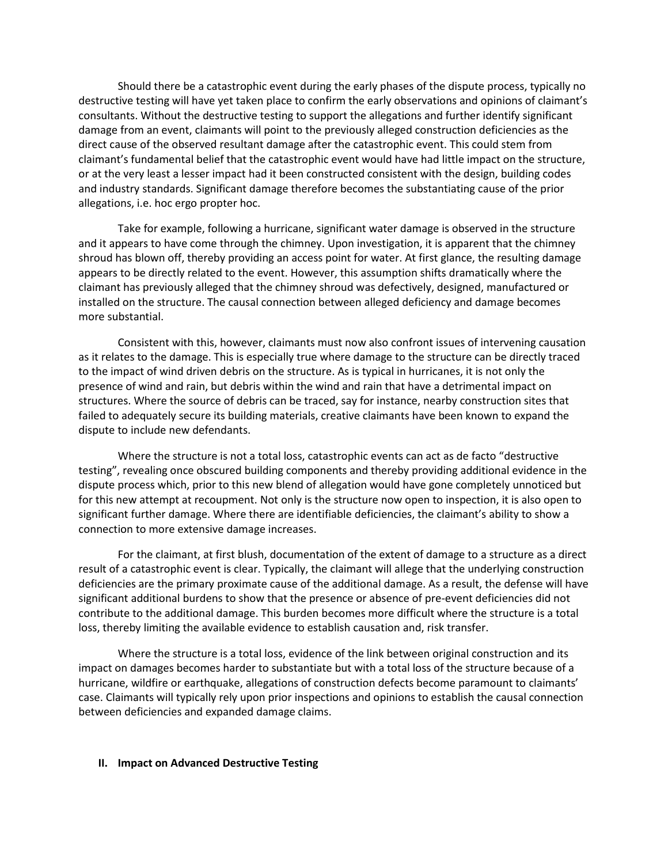Should there be a catastrophic event during the early phases of the dispute process, typically no destructive testing will have yet taken place to confirm the early observations and opinions of claimant's consultants. Without the destructive testing to support the allegations and further identify significant damage from an event, claimants will point to the previously alleged construction deficiencies as the direct cause of the observed resultant damage after the catastrophic event. This could stem from claimant's fundamental belief that the catastrophic event would have had little impact on the structure, or at the very least a lesser impact had it been constructed consistent with the design, building codes and industry standards. Significant damage therefore becomes the substantiating cause of the prior allegations, i.e. hoc ergo propter hoc.

Take for example, following a hurricane, significant water damage is observed in the structure and it appears to have come through the chimney. Upon investigation, it is apparent that the chimney shroud has blown off, thereby providing an access point for water. At first glance, the resulting damage appears to be directly related to the event. However, this assumption shifts dramatically where the claimant has previously alleged that the chimney shroud was defectively, designed, manufactured or installed on the structure. The causal connection between alleged deficiency and damage becomes more substantial.

Consistent with this, however, claimants must now also confront issues of intervening causation as it relates to the damage. This is especially true where damage to the structure can be directly traced to the impact of wind driven debris on the structure. As is typical in hurricanes, it is not only the presence of wind and rain, but debris within the wind and rain that have a detrimental impact on structures. Where the source of debris can be traced, say for instance, nearby construction sites that failed to adequately secure its building materials, creative claimants have been known to expand the dispute to include new defendants.

Where the structure is not a total loss, catastrophic events can act as de facto "destructive testing", revealing once obscured building components and thereby providing additional evidence in the dispute process which, prior to this new blend of allegation would have gone completely unnoticed but for this new attempt at recoupment. Not only is the structure now open to inspection, it is also open to significant further damage. Where there are identifiable deficiencies, the claimant's ability to show a connection to more extensive damage increases.

For the claimant, at first blush, documentation of the extent of damage to a structure as a direct result of a catastrophic event is clear. Typically, the claimant will allege that the underlying construction deficiencies are the primary proximate cause of the additional damage. As a result, the defense will have significant additional burdens to show that the presence or absence of pre-event deficiencies did not contribute to the additional damage. This burden becomes more difficult where the structure is a total loss, thereby limiting the available evidence to establish causation and, risk transfer.

Where the structure is a total loss, evidence of the link between original construction and its impact on damages becomes harder to substantiate but with a total loss of the structure because of a hurricane, wildfire or earthquake, allegations of construction defects become paramount to claimants' case. Claimants will typically rely upon prior inspections and opinions to establish the causal connection between deficiencies and expanded damage claims.

#### **II. Impact on Advanced Destructive Testing**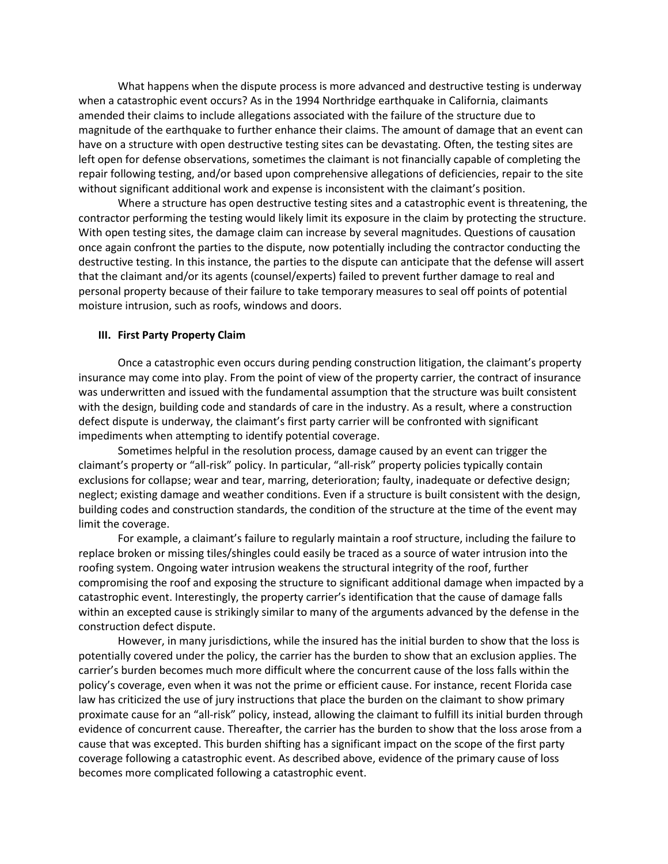What happens when the dispute process is more advanced and destructive testing is underway when a catastrophic event occurs? As in the 1994 Northridge earthquake in California, claimants amended their claims to include allegations associated with the failure of the structure due to magnitude of the earthquake to further enhance their claims. The amount of damage that an event can have on a structure with open destructive testing sites can be devastating. Often, the testing sites are left open for defense observations, sometimes the claimant is not financially capable of completing the repair following testing, and/or based upon comprehensive allegations of deficiencies, repair to the site without significant additional work and expense is inconsistent with the claimant's position.

Where a structure has open destructive testing sites and a catastrophic event is threatening, the contractor performing the testing would likely limit its exposure in the claim by protecting the structure. With open testing sites, the damage claim can increase by several magnitudes. Questions of causation once again confront the parties to the dispute, now potentially including the contractor conducting the destructive testing. In this instance, the parties to the dispute can anticipate that the defense will assert that the claimant and/or its agents (counsel/experts) failed to prevent further damage to real and personal property because of their failure to take temporary measures to seal off points of potential moisture intrusion, such as roofs, windows and doors.

### **III. First Party Property Claim**

Once a catastrophic even occurs during pending construction litigation, the claimant's property insurance may come into play. From the point of view of the property carrier, the contract of insurance was underwritten and issued with the fundamental assumption that the structure was built consistent with the design, building code and standards of care in the industry. As a result, where a construction defect dispute is underway, the claimant's first party carrier will be confronted with significant impediments when attempting to identify potential coverage.

Sometimes helpful in the resolution process, damage caused by an event can trigger the claimant's property or "all-risk" policy. In particular, "all-risk" property policies typically contain exclusions for collapse; wear and tear, marring, deterioration; faulty, inadequate or defective design; neglect; existing damage and weather conditions. Even if a structure is built consistent with the design, building codes and construction standards, the condition of the structure at the time of the event may limit the coverage.

For example, a claimant's failure to regularly maintain a roof structure, including the failure to replace broken or missing tiles/shingles could easily be traced as a source of water intrusion into the roofing system. Ongoing water intrusion weakens the structural integrity of the roof, further compromising the roof and exposing the structure to significant additional damage when impacted by a catastrophic event. Interestingly, the property carrier's identification that the cause of damage falls within an excepted cause is strikingly similar to many of the arguments advanced by the defense in the construction defect dispute.

However, in many jurisdictions, while the insured has the initial burden to show that the loss is potentially covered under the policy, the carrier has the burden to show that an exclusion applies. The carrier's burden becomes much more difficult where the concurrent cause of the loss falls within the policy's coverage, even when it was not the prime or efficient cause. For instance, recent Florida case law has criticized the use of jury instructions that place the burden on the claimant to show primary proximate cause for an "all-risk" policy, instead, allowing the claimant to fulfill its initial burden through evidence of concurrent cause. Thereafter, the carrier has the burden to show that the loss arose from a cause that was excepted. This burden shifting has a significant impact on the scope of the first party coverage following a catastrophic event. As described above, evidence of the primary cause of loss becomes more complicated following a catastrophic event.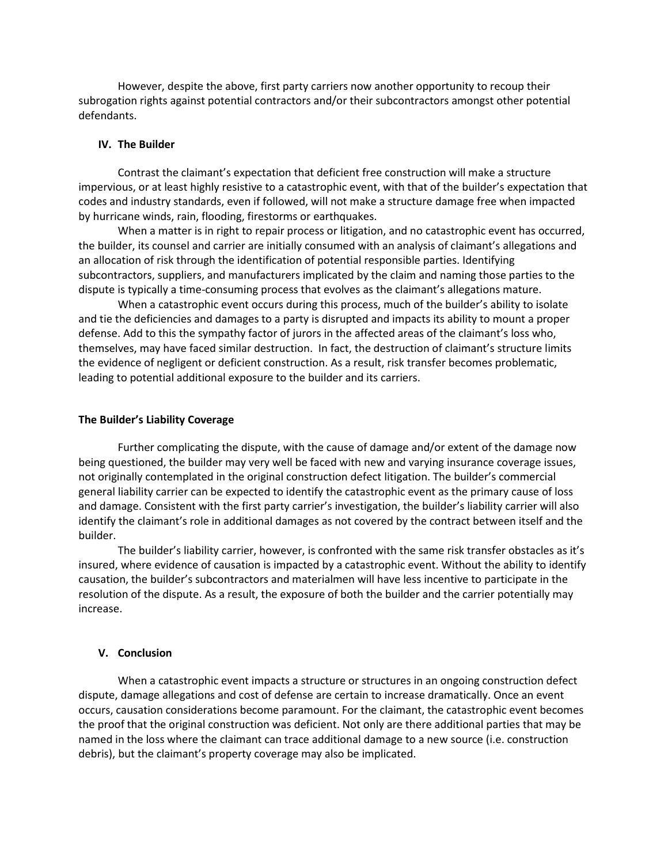However, despite the above, first party carriers now another opportunity to recoup their subrogation rights against potential contractors and/or their subcontractors amongst other potential defendants.

# **IV. The Builder**

Contrast the claimant's expectation that deficient free construction will make a structure impervious, or at least highly resistive to a catastrophic event, with that of the builder's expectation that codes and industry standards, even if followed, will not make a structure damage free when impacted by hurricane winds, rain, flooding, firestorms or earthquakes.

When a matter is in right to repair process or litigation, and no catastrophic event has occurred, the builder, its counsel and carrier are initially consumed with an analysis of claimant's allegations and an allocation of risk through the identification of potential responsible parties. Identifying subcontractors, suppliers, and manufacturers implicated by the claim and naming those parties to the dispute is typically a time-consuming process that evolves as the claimant's allegations mature.

When a catastrophic event occurs during this process, much of the builder's ability to isolate and tie the deficiencies and damages to a party is disrupted and impacts its ability to mount a proper defense. Add to this the sympathy factor of jurors in the affected areas of the claimant's loss who, themselves, may have faced similar destruction. In fact, the destruction of claimant's structure limits the evidence of negligent or deficient construction. As a result, risk transfer becomes problematic, leading to potential additional exposure to the builder and its carriers.

### **The Builder's Liability Coverage**

Further complicating the dispute, with the cause of damage and/or extent of the damage now being questioned, the builder may very well be faced with new and varying insurance coverage issues, not originally contemplated in the original construction defect litigation. The builder's commercial general liability carrier can be expected to identify the catastrophic event as the primary cause of loss and damage. Consistent with the first party carrier's investigation, the builder's liability carrier will also identify the claimant's role in additional damages as not covered by the contract between itself and the builder.

The builder's liability carrier, however, is confronted with the same risk transfer obstacles as it's insured, where evidence of causation is impacted by a catastrophic event. Without the ability to identify causation, the builder's subcontractors and materialmen will have less incentive to participate in the resolution of the dispute. As a result, the exposure of both the builder and the carrier potentially may increase.

### **V. Conclusion**

When a catastrophic event impacts a structure or structures in an ongoing construction defect dispute, damage allegations and cost of defense are certain to increase dramatically. Once an event occurs, causation considerations become paramount. For the claimant, the catastrophic event becomes the proof that the original construction was deficient. Not only are there additional parties that may be named in the loss where the claimant can trace additional damage to a new source (i.e. construction debris), but the claimant's property coverage may also be implicated.